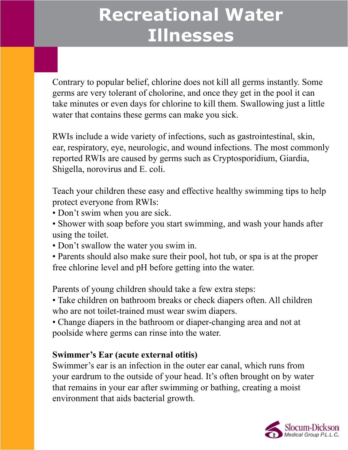# **Recreational Water Illnesses**

Contrary to popular belief, chlorine does not kill all germs instantly. Some germs are very tolerant of cholorine, and once they get in the pool it can take minutes or even days for chlorine to kill them. Swallowing just a little water that contains these germs can make you sick.

RWIs include a wide variety of infections, such as gastrointestinal, skin, ear, respiratory, eye, neurologic, and wound infections. The most commonly reported RWIs are caused by germs such as Cryptosporidium, Giardia, Shigella, norovirus and E. coli.

Teach your children these easy and effective healthy swimming tips to help protect everyone from RWIs:

- Don't swim when you are sick.
- Shower with soap before you start swimming, and wash your hands after using the toilet.
- Don't swallow the water you swim in.
- Parents should also make sure their pool, hot tub, or spa is at the proper free chlorine level and pH before getting into the water.

Parents of young children should take a few extra steps:

• Take children on bathroom breaks or check diapers often. All children who are not toilet-trained must wear swim diapers.

• Change diapers in the bathroom or diaper-changing area and not at poolside where germs can rinse into the water.

### **Swimmer's Ear (acute external otitis)**

Swimmer's ear is an infection in the outer ear canal, which runs from your eardrum to the outside of your head. It's often brought on by water that remains in your ear after swimming or bathing, creating a moist environment that aids bacterial growth.

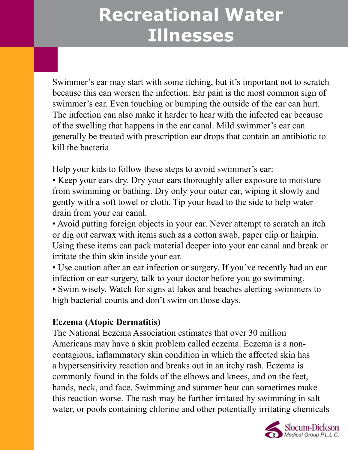# **Recreational Water Illnesses**

Swimmer's ear may start with some itching, but it's important not to scratch because this can worsen the infection. Ear pain is the most common sign of swimmer's ear. Even touching or bumping the outside of the ear can hurt. The infection can also make it harder to hear with the infected ear because of the swelling that happens in the ear canal. Mild swimmer's ear can generally be treated with prescription ear drops that contain an antibiotic to kill the bacteria.

Help your kids to follow these steps to avoid swimmer's ear:

• Keep your ears dry. Dry your ears thoroughly after exposure to moisture from swimming or bathing. Dry only your outer ear, wiping it slowly and gently with a soft towel or cloth. Tip your head to the side to help water drain from your ear canal.

• Avoid putting foreign objects in your ear. Never attempt to scratch an itch or dig out earwax with items such as a cotton swab, paper clip or hairpin. Using these items can pack material deeper into your ear canal and break or irritate the thin skin inside your ear.

• Use caution after an ear infection or surgery. If you've recently had an ear infection or ear surgery, talk to your doctor before you go swimming.

• Swim wisely. Watch for signs at lakes and beaches alerting swimmers to high bacterial counts and don't swim on those days.

### **Eczema (Atopic Dermatitis)**

The National Eczema Association estimates that over 30 million Americans may have a skin problem called eczema. Eczema is a noncontagious, inflammatory skin condition in which the affected skin has a hypersensitivity reaction and breaks out in an itchy rash. Eczema is commonly found in the folds of the elbows and knees, and on the feet, hands, neck, and face. Swimming and summer heat can sometimes make this reaction worse. The rash may be further irritated by swimming in salt water, or pools containing chlorine and other potentially irritating chemicals